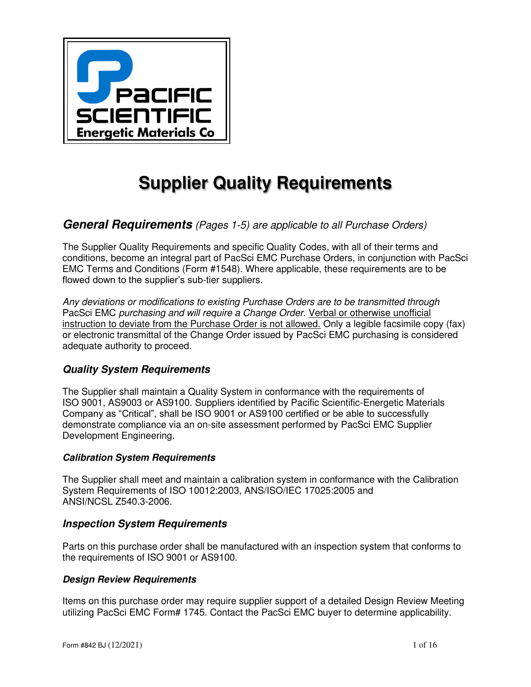

# **Supplier Quality Requirements**

# *General Requirements (Pages 1-5) are applicable to all Purchase Orders)*

The Supplier Quality Requirements and specific Quality Codes, with all of their terms and conditions, become an integral part of PacSci EMC Purchase Orders, in conjunction with PacSci EMC Terms and Conditions (Form #1548). Where applicable, these requirements are to be flowed down to the supplier's sub-tier suppliers.

*Any deviations or modifications to existing Purchase Orders are to be transmitted through*  PacSci EMC *purchasing and will require a Change Order*. Verbal or otherwise unofficial instruction to deviate from the Purchase Order is not allowed. Only a legible facsimile copy (fax) or electronic transmittal of the Change Order issued by PacSci EMC purchasing is considered adequate authority to proceed.

# *Quality System Requirements*

The Supplier shall maintain a Quality System in conformance with the requirements of ISO 9001, AS9003 or AS9100. Suppliers identified by Pacific Scientific-Energetic Materials Company as "Critical", shall be ISO 9001 or AS9100 certified or be able to successfully demonstrate compliance via an on-site assessment performed by PacSci EMC Supplier Development Engineering.

## *Calibration System Requirements*

The Supplier shall meet and maintain a calibration system in conformance with the Calibration System Requirements of ISO 10012:2003, ANS/ISO/IEC 17025:2005 and ANSI/NCSL Z540.3-2006.

## *Inspection System Requirements*

Parts on this purchase order shall be manufactured with an inspection system that conforms to the requirements of ISO 9001 or AS9100.

## *Design Review Requirements*

Items on this purchase order may require supplier support of a detailed Design Review Meeting utilizing PacSci EMC Form# 1745. Contact the PacSci EMC buyer to determine applicability.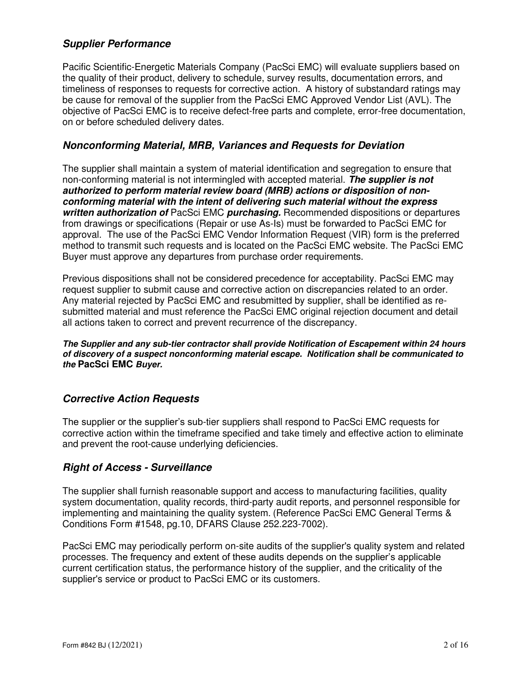# *Supplier Performance*

Pacific Scientific-Energetic Materials Company (PacSci EMC) will evaluate suppliers based on the quality of their product, delivery to schedule, survey results, documentation errors, and timeliness of responses to requests for corrective action. A history of substandard ratings may be cause for removal of the supplier from the PacSci EMC Approved Vendor List (AVL). The objective of PacSci EMC is to receive defect-free parts and complete, error-free documentation, on or before scheduled delivery dates.

# *Nonconforming Material, MRB, Variances and Requests for Deviation*

The supplier shall maintain a system of material identification and segregation to ensure that non-conforming material is not intermingled with accepted material. *The supplier is not authorized to perform material review board (MRB) actions or disposition of nonconforming material with the intent of delivering such material without the express written authorization of* PacSci EMC *purchasing.* Recommended dispositions or departures from drawings or specifications (Repair or use As-Is) must be forwarded to PacSci EMC for approval. The use of the PacSci EMC Vendor Information Request (VIR) form is the preferred method to transmit such requests and is located on the PacSci EMC website. The PacSci EMC Buyer must approve any departures from purchase order requirements.

Previous dispositions shall not be considered precedence for acceptability. PacSci EMC may request supplier to submit cause and corrective action on discrepancies related to an order. Any material rejected by PacSci EMC and resubmitted by supplier, shall be identified as resubmitted material and must reference the PacSci EMC original rejection document and detail all actions taken to correct and prevent recurrence of the discrepancy.

*The Supplier and any sub-tier contractor shall provide Notification of Escapement within 24 hours of discovery of a suspect nonconforming material escape. Notification shall be communicated to the* **PacSci EMC** *Buyer.* 

# *Corrective Action Requests*

The supplier or the supplier's sub-tier suppliers shall respond to PacSci EMC requests for corrective action within the timeframe specified and take timely and effective action to eliminate and prevent the root-cause underlying deficiencies.

# *Right of Access - Surveillance*

The supplier shall furnish reasonable support and access to manufacturing facilities, quality system documentation, quality records, third-party audit reports, and personnel responsible for implementing and maintaining the quality system. (Reference PacSci EMC General Terms & Conditions Form #1548, pg.10, DFARS Clause 252.223-7002).

PacSci EMC may periodically perform on-site audits of the supplier's quality system and related processes. The frequency and extent of these audits depends on the supplier's applicable current certification status, the performance history of the supplier, and the criticality of the supplier's service or product to PacSci EMC or its customers.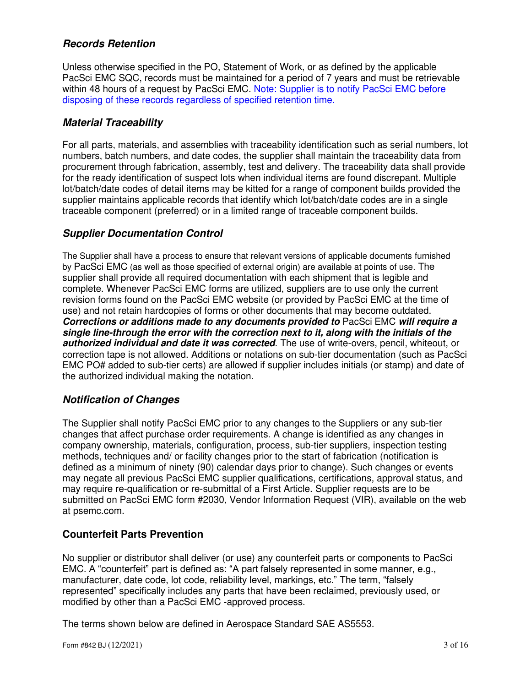# *Records Retention*

Unless otherwise specified in the PO, Statement of Work, or as defined by the applicable PacSci EMC SQC, records must be maintained for a period of 7 years and must be retrievable within 48 hours of a request by PacSci EMC. Note: Supplier is to notify PacSci EMC before disposing of these records regardless of specified retention time.

# *Material Traceability*

For all parts, materials, and assemblies with traceability identification such as serial numbers, lot numbers, batch numbers, and date codes, the supplier shall maintain the traceability data from procurement through fabrication, assembly, test and delivery. The traceability data shall provide for the ready identification of suspect lots when individual items are found discrepant. Multiple lot/batch/date codes of detail items may be kitted for a range of component builds provided the supplier maintains applicable records that identify which lot/batch/date codes are in a single traceable component (preferred) or in a limited range of traceable component builds.

# *Supplier Documentation Control*

The Supplier shall have a process to ensure that relevant versions of applicable documents furnished by PacSci EMC (as well as those specified of external origin) are available at points of use. The supplier shall provide all required documentation with each shipment that is legible and complete. Whenever PacSci EMC forms are utilized, suppliers are to use only the current revision forms found on the PacSci EMC website (or provided by PacSci EMC at the time of use) and not retain hardcopies of forms or other documents that may become outdated. *Corrections or additions made to any documents provided to* PacSci EMC *will require a single line-through the error with the correction next to it, along with the initials of the authorized individual and date it was corrected*. The use of write-overs, pencil, whiteout, or correction tape is not allowed. Additions or notations on sub-tier documentation (such as PacSci EMC PO# added to sub-tier certs) are allowed if supplier includes initials (or stamp) and date of the authorized individual making the notation.

# *Notification of Changes*

The Supplier shall notify PacSci EMC prior to any changes to the Suppliers or any sub-tier changes that affect purchase order requirements. A change is identified as any changes in company ownership, materials, configuration, process, sub-tier suppliers, inspection testing methods, techniques and/ or facility changes prior to the start of fabrication (notification is defined as a minimum of ninety (90) calendar days prior to change). Such changes or events may negate all previous PacSci EMC supplier qualifications, certifications, approval status, and may require re-qualification or re-submittal of a First Article. Supplier requests are to be submitted on PacSci EMC form #2030, Vendor Information Request (VIR), available on the web at psemc.com.

# **Counterfeit Parts Prevention**

No supplier or distributor shall deliver (or use) any counterfeit parts or components to PacSci EMC. A "counterfeit" part is defined as: "A part falsely represented in some manner, e.g., manufacturer, date code, lot code, reliability level, markings, etc." The term, "falsely represented" specifically includes any parts that have been reclaimed, previously used, or modified by other than a PacSci EMC -approved process.

The terms shown below are defined in Aerospace Standard SAE AS5553.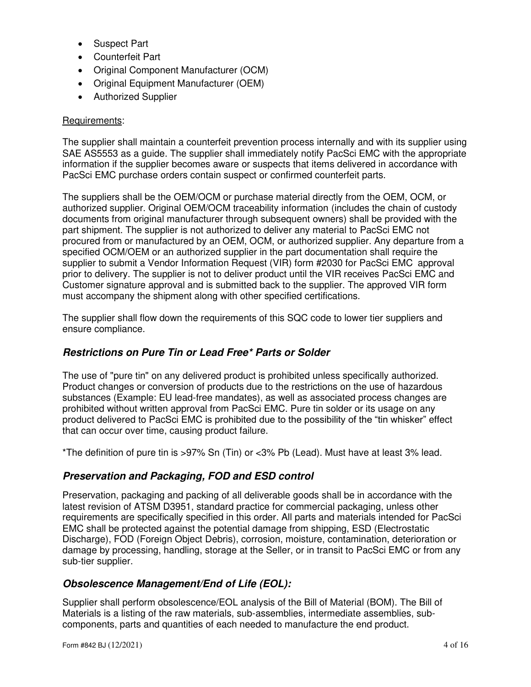- Suspect Part
- Counterfeit Part
- Original Component Manufacturer (OCM)
- Original Equipment Manufacturer (OEM)
- Authorized Supplier

## Requirements:

The supplier shall maintain a counterfeit prevention process internally and with its supplier using SAE AS5553 as a guide. The supplier shall immediately notify PacSci EMC with the appropriate information if the supplier becomes aware or suspects that items delivered in accordance with PacSci EMC purchase orders contain suspect or confirmed counterfeit parts.

The suppliers shall be the OEM/OCM or purchase material directly from the OEM, OCM, or authorized supplier. Original OEM/OCM traceability information (includes the chain of custody documents from original manufacturer through subsequent owners) shall be provided with the part shipment. The supplier is not authorized to deliver any material to PacSci EMC not procured from or manufactured by an OEM, OCM, or authorized supplier. Any departure from a specified OCM/OEM or an authorized supplier in the part documentation shall require the supplier to submit a Vendor Information Request (VIR) form #2030 for PacSci EMC approval prior to delivery. The supplier is not to deliver product until the VIR receives PacSci EMC and Customer signature approval and is submitted back to the supplier. The approved VIR form must accompany the shipment along with other specified certifications.

The supplier shall flow down the requirements of this SQC code to lower tier suppliers and ensure compliance.

# *Restrictions on Pure Tin or Lead Free\* Parts or Solder*

The use of "pure tin" on any delivered product is prohibited unless specifically authorized. Product changes or conversion of products due to the restrictions on the use of hazardous substances (Example: EU lead-free mandates), as well as associated process changes are prohibited without written approval from PacSci EMC. Pure tin solder or its usage on any product delivered to PacSci EMC is prohibited due to the possibility of the "tin whisker" effect that can occur over time, causing product failure.

\*The definition of pure tin is >97% Sn (Tin) or <3% Pb (Lead). Must have at least 3% lead.

# *Preservation and Packaging, FOD and ESD control*

Preservation, packaging and packing of all deliverable goods shall be in accordance with the latest revision of ATSM D3951, standard practice for commercial packaging, unless other requirements are specifically specified in this order. All parts and materials intended for PacSci EMC shall be protected against the potential damage from shipping, ESD (Electrostatic Discharge), FOD (Foreign Object Debris), corrosion, moisture, contamination, deterioration or damage by processing, handling, storage at the Seller, or in transit to PacSci EMC or from any sub-tier supplier.

# *Obsolescence Management/End of Life (EOL):*

Supplier shall perform obsolescence/EOL analysis of the Bill of Material (BOM). The Bill of Materials is a listing of the raw materials, sub-assemblies, intermediate assemblies, subcomponents, parts and quantities of each needed to manufacture the end product.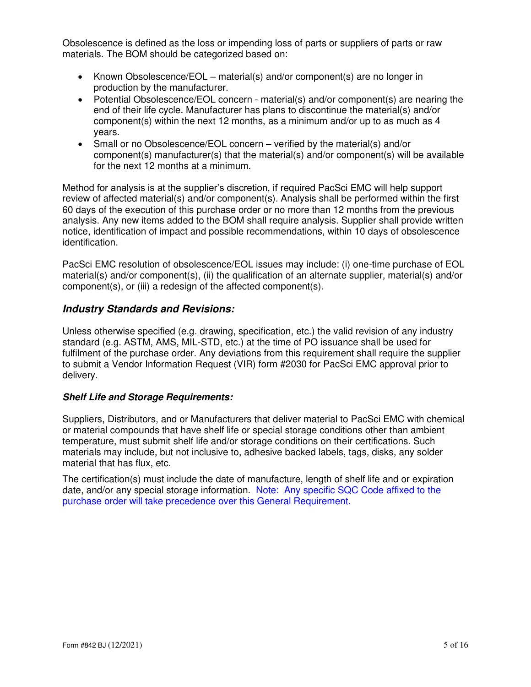Obsolescence is defined as the loss or impending loss of parts or suppliers of parts or raw materials. The BOM should be categorized based on:

- Known Obsolescence/EOL material(s) and/or component(s) are no longer in production by the manufacturer.
- Potential Obsolescence/EOL concern material(s) and/or component(s) are nearing the end of their life cycle. Manufacturer has plans to discontinue the material(s) and/or component(s) within the next 12 months, as a minimum and/or up to as much as 4 years.
- Small or no Obsolescence/EOL concern verified by the material(s) and/or component(s) manufacturer(s) that the material(s) and/or component(s) will be available for the next 12 months at a minimum.

Method for analysis is at the supplier's discretion, if required PacSci EMC will help support review of affected material(s) and/or component(s). Analysis shall be performed within the first 60 days of the execution of this purchase order or no more than 12 months from the previous analysis. Any new items added to the BOM shall require analysis. Supplier shall provide written notice, identification of impact and possible recommendations, within 10 days of obsolescence identification.

PacSci EMC resolution of obsolescence/EOL issues may include: (i) one-time purchase of EOL material(s) and/or component(s), (ii) the qualification of an alternate supplier, material(s) and/or component(s), or (iii) a redesign of the affected component(s).

# *Industry Standards and Revisions:*

Unless otherwise specified (e.g. drawing, specification, etc.) the valid revision of any industry standard (e.g. ASTM, AMS, MIL-STD, etc.) at the time of PO issuance shall be used for fulfilment of the purchase order. Any deviations from this requirement shall require the supplier to submit a Vendor Information Request (VIR) form #2030 for PacSci EMC approval prior to delivery.

## *Shelf Life and Storage Requirements:*

Suppliers, Distributors, and or Manufacturers that deliver material to PacSci EMC with chemical or material compounds that have shelf life or special storage conditions other than ambient temperature, must submit shelf life and/or storage conditions on their certifications. Such materials may include, but not inclusive to, adhesive backed labels, tags, disks, any solder material that has flux, etc.

The certification(s) must include the date of manufacture, length of shelf life and or expiration date, and/or any special storage information. Note: Any specific SQC Code affixed to the purchase order will take precedence over this General Requirement.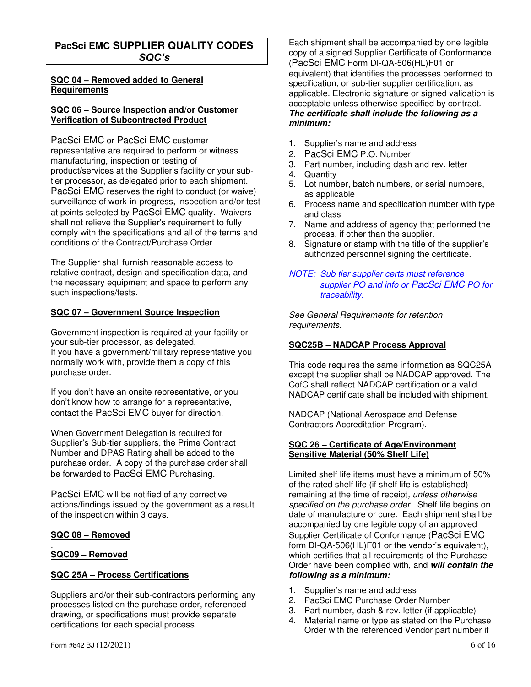# **PacSci EMC SUPPLIER QUALITY CODES**  *SQC's*

#### **SQC 04 – Removed added to General Requirements**

#### **SQC 06 – Source Inspection and/or Customer Verification of Subcontracted Product**

PacSci EMC or PacSci EMC customer representative are required to perform or witness manufacturing, inspection or testing of product/services at the Supplier's facility or your subtier processor, as delegated prior to each shipment. PacSci EMC reserves the right to conduct (or waive) surveillance of work-in-progress, inspection and/or test at points selected by PacSci EMC quality. Waivers shall not relieve the Supplier's requirement to fully comply with the specifications and all of the terms and conditions of the Contract/Purchase Order.

The Supplier shall furnish reasonable access to relative contract, design and specification data, and the necessary equipment and space to perform any such inspections/tests.

## **SQC 07 – Government Source Inspection**

Government inspection is required at your facility or your sub-tier processor, as delegated. If you have a government/military representative you normally work with, provide them a copy of this purchase order.

If you don't have an onsite representative, or you don't know how to arrange for a representative, contact the PacSci EMC buyer for direction.

When Government Delegation is required for Supplier's Sub-tier suppliers, the Prime Contract Number and DPAS Rating shall be added to the purchase order. A copy of the purchase order shall be forwarded to PacSci EMC Purchasing.

PacSci EMC will be notified of any corrective actions/findings issued by the government as a result of the inspection within 3 days.

## **SQC 08 – Removed**

#### . **SQC09 – Removed**

#### **SQC 25A – Process Certifications**

Suppliers and/or their sub-contractors performing any processes listed on the purchase order, referenced drawing, or specifications must provide separate certifications for each special process.

Each shipment shall be accompanied by one legible copy of a signed Supplier Certificate of Conformance (PacSci EMC Form DI-QA-506(HL)F01 or equivalent) that identifies the processes performed to specification, or sub-tier supplier certification, as applicable. Electronic signature or signed validation is acceptable unless otherwise specified by contract. *The certificate shall include the following as a minimum:* 

- 1. Supplier's name and address
- 2. PacSci EMC P.O. Number
- 3. Part number, including dash and rev. letter
- 4. Quantity
- 5. Lot number, batch numbers, or serial numbers, as applicable
- 6. Process name and specification number with type and class
- 7. Name and address of agency that performed the process, if other than the supplier.
- 8. Signature or stamp with the title of the supplier's authorized personnel signing the certificate.

#### *NOTE: Sub tier supplier certs must reference supplier PO and info or PacSci EMC PO for traceability.*

*See General Requirements for retention requirements.* 

#### **SQC25B – NADCAP Process Approval**

This code requires the same information as SQC25A except the supplier shall be NADCAP approved. The CofC shall reflect NADCAP certification or a valid NADCAP certificate shall be included with shipment.

NADCAP (National Aerospace and Defense Contractors Accreditation Program).

#### **SQC 26 – Certificate of Age/Environment Sensitive Material (50% Shelf Life)**

Limited shelf life items must have a minimum of 50% of the rated shelf life (if shelf life is established) remaining at the time of receipt*, unless otherwise specified on the purchase order*. Shelf life begins on date of manufacture or cure. Each shipment shall be accompanied by one legible copy of an approved Supplier Certificate of Conformance (PacSci EMC form DI-QA-506(HL)F01 or the vendor's equivalent). which certifies that all requirements of the Purchase Order have been complied with, and *will contain the following as a minimum:* 

- 1. Supplier's name and address
- 2. PacSci EMC Purchase Order Number
- 3. Part number, dash & rev. letter (if applicable)
- 4. Material name or type as stated on the Purchase Order with the referenced Vendor part number if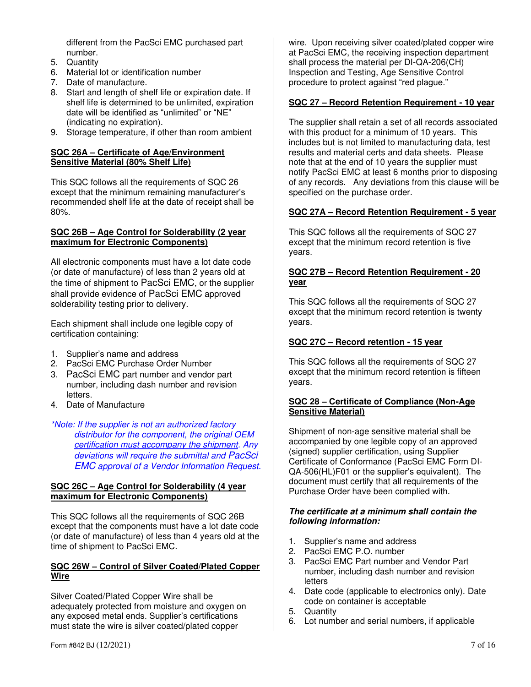different from the PacSci EMC purchased part number.

- 5. Quantity
- 6. Material lot or identification number
- 7. Date of manufacture.
- 8. Start and length of shelf life or expiration date. If shelf life is determined to be unlimited, expiration date will be identified as "unlimited" or "NE" (indicating no expiration).
- 9. Storage temperature, if other than room ambient

#### **SQC 26A – Certificate of Age/Environment Sensitive Material (80% Shelf Life)**

This SQC follows all the requirements of SQC 26 except that the minimum remaining manufacturer's recommended shelf life at the date of receipt shall be 80%.

#### **SQC 26B – Age Control for Solderability (2 year maximum for Electronic Components)**

All electronic components must have a lot date code (or date of manufacture) of less than 2 years old at the time of shipment to PacSci EMC, or the supplier shall provide evidence of PacSci EMC approved solderability testing prior to delivery.

Each shipment shall include one legible copy of certification containing:

- 1. Supplier's name and address
- 2. PacSci EMC Purchase Order Number
- 3. PacSci EMC part number and vendor part number, including dash number and revision letters.
- 4. Date of Manufacture

*\*Note: If the supplier is not an authorized factory distributor for the component, the original OEM certification must accompany the shipment. Any deviations will require the submittal and PacSci EMC approval of a Vendor Information Request.* 

#### **SQC 26C – Age Control for Solderability (4 year maximum for Electronic Components)**

This SQC follows all the requirements of SQC 26B except that the components must have a lot date code (or date of manufacture) of less than 4 years old at the time of shipment to PacSci EMC.

#### **SQC 26W – Control of Silver Coated/Plated Copper Wire**

Silver Coated/Plated Copper Wire shall be adequately protected from moisture and oxygen on any exposed metal ends. Supplier's certifications must state the wire is silver coated/plated copper

wire. Upon receiving silver coated/plated copper wire at PacSci EMC, the receiving inspection department shall process the material per DI-QA-206(CH) Inspection and Testing, Age Sensitive Control procedure to protect against "red plague."

## **SQC 27 – Record Retention Requirement - 10 year**

The supplier shall retain a set of all records associated with this product for a minimum of 10 years. This includes but is not limited to manufacturing data, test results and material certs and data sheets. Please note that at the end of 10 years the supplier must notify PacSci EMC at least 6 months prior to disposing of any records. Any deviations from this clause will be specified on the purchase order.

#### **SQC 27A – Record Retention Requirement - 5 year**

This SQC follows all the requirements of SQC 27 except that the minimum record retention is five years.

#### **SQC 27B – Record Retention Requirement - 20 year**

This SQC follows all the requirements of SQC 27 except that the minimum record retention is twenty years.

#### **SQC 27C – Record retention - 15 year**

This SQC follows all the requirements of SQC 27 except that the minimum record retention is fifteen years.

#### **SQC 28 – Certificate of Compliance (Non-Age Sensitive Material)**

Shipment of non-age sensitive material shall be accompanied by one legible copy of an approved (signed) supplier certification, using Supplier Certificate of Conformance (PacSci EMC Form DI-QA-506(HL)F01 or the supplier's equivalent). The document must certify that all requirements of the Purchase Order have been complied with.

#### *The certificate at a minimum shall contain the following information:*

- 1. Supplier's name and address
- 2. PacSci EMC P.O. number
- 3. PacSci EMC Part number and Vendor Part number, including dash number and revision letters
- 4. Date code (applicable to electronics only). Date code on container is acceptable
- 5. Quantity
- 6. Lot number and serial numbers, if applicable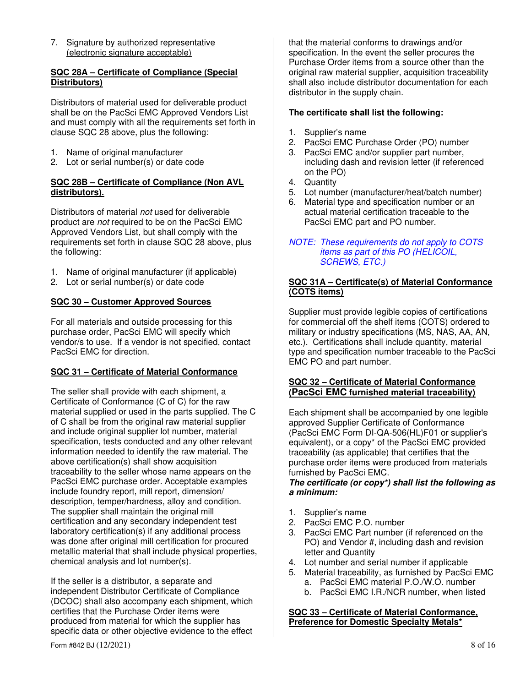7. Signature by authorized representative (electronic signature acceptable)

#### **SQC 28A – Certificate of Compliance (Special Distributors)**

Distributors of material used for deliverable product shall be on the PacSci EMC Approved Vendors List and must comply with all the requirements set forth in clause SQC 28 above, plus the following:

- 1. Name of original manufacturer
- 2. Lot or serial number(s) or date code

#### **SQC 28B – Certificate of Compliance (Non AVL distributors).**

Distributors of material *not* used for deliverable product are *not* required to be on the PacSci EMC Approved Vendors List, but shall comply with the requirements set forth in clause SQC 28 above, plus the following:

- 1. Name of original manufacturer (if applicable)
- 2. Lot or serial number(s) or date code

## **SQC 30 – Customer Approved Sources**

For all materials and outside processing for this purchase order, PacSci EMC will specify which vendor/s to use. If a vendor is not specified, contact PacSci EMC for direction.

## **SQC 31 – Certificate of Material Conformance**

The seller shall provide with each shipment, a Certificate of Conformance (C of C) for the raw material supplied or used in the parts supplied. The C of C shall be from the original raw material supplier and include original supplier lot number, material specification, tests conducted and any other relevant information needed to identify the raw material. The above certification(s) shall show acquisition traceability to the seller whose name appears on the PacSci EMC purchase order. Acceptable examples include foundry report, mill report, dimension/ description, temper/hardness, alloy and condition. The supplier shall maintain the original mill certification and any secondary independent test laboratory certification(s) if any additional process was done after original mill certification for procured metallic material that shall include physical properties, chemical analysis and lot number(s).

If the seller is a distributor, a separate and independent Distributor Certificate of Compliance (DCOC) shall also accompany each shipment, which certifies that the Purchase Order items were produced from material for which the supplier has specific data or other objective evidence to the effect that the material conforms to drawings and/or specification. In the event the seller procures the Purchase Order items from a source other than the original raw material supplier, acquisition traceability shall also include distributor documentation for each distributor in the supply chain.

## **The certificate shall list the following:**

- 1. Supplier's name
- 2. PacSci EMC Purchase Order (PO) number
- 3. PacSci EMC and/or supplier part number, including dash and revision letter (if referenced on the PO)
- 4. Quantity
- 5. Lot number (manufacturer/heat/batch number)
- 6. Material type and specification number or an actual material certification traceable to the PacSci EMC part and PO number.

#### *NOTE: These requirements do not apply to COTS items as part of this PO (HELICOIL, SCREWS, ETC.)*

## **SQC 31A – Certificate(s) of Material Conformance (COTS items)**

Supplier must provide legible copies of certifications for commercial off the shelf items (COTS) ordered to military or industry specifications (MS, NAS, AA, AN, etc.). Certifications shall include quantity, material type and specification number traceable to the PacSci EMC PO and part number.

## **SQC 32 – Certificate of Material Conformance (PacSci EMC furnished material traceability)**

Each shipment shall be accompanied by one legible approved Supplier Certificate of Conformance (PacSci EMC Form DI-QA-506(HL)F01 or supplier's equivalent), or a copy\* of the PacSci EMC provided traceability (as applicable) that certifies that the purchase order items were produced from materials furnished by PacSci EMC.

#### *The certificate (or copy\*) shall list the following as a minimum:*

- 1. Supplier's name
- 2. PacSci EMC P.O. number
- 3. PacSci EMC Part number (if referenced on the PO) and Vendor #, including dash and revision letter and Quantity
- 4. Lot number and serial number if applicable
- 5. Material traceability, as furnished by PacSci EMC a. PacSci EMC material P.O./W.O. number
	- b. PacSci EMC I.R./NCR number, when listed

#### **SQC 33 – Certificate of Material Conformance, Preference for Domestic Specialty Metals\***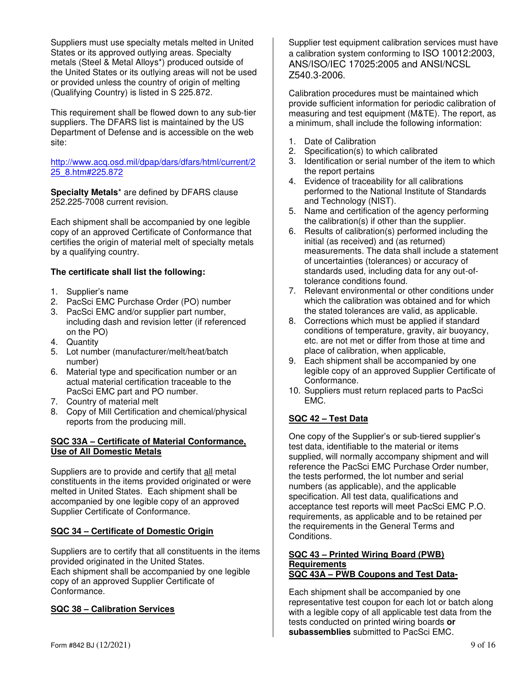Suppliers must use specialty metals melted in United States or its approved outlying areas. Specialty metals (Steel & Metal Alloys\*) produced outside of the United States or its outlying areas will not be used or provided unless the country of origin of melting (Qualifying Country) is listed in S 225.872.

This requirement shall be flowed down to any sub-tier suppliers. The DFARS list is maintained by the US Department of Defense and is accessible on the web site:

http://www.acq.osd.mil/dpap/dars/dfars/html/current/2 25\_8.htm#225.872

**Specialty Metals**\* are defined by DFARS clause 252.225-7008 current revision.

Each shipment shall be accompanied by one legible copy of an approved Certificate of Conformance that certifies the origin of material melt of specialty metals by a qualifying country.

## **The certificate shall list the following:**

- 1. Supplier's name
- 2. PacSci EMC Purchase Order (PO) number
- 3. PacSci EMC and/or supplier part number, including dash and revision letter (if referenced on the PO)
- 4. Quantity
- 5. Lot number (manufacturer/melt/heat/batch number)
- 6. Material type and specification number or an actual material certification traceable to the PacSci EMC part and PO number.
- 7. Country of material melt
- 8. Copy of Mill Certification and chemical/physical reports from the producing mill.

#### **SQC 33A – Certificate of Material Conformance, Use of All Domestic Metals**

Suppliers are to provide and certify that all metal constituents in the items provided originated or were melted in United States. Each shipment shall be accompanied by one legible copy of an approved Supplier Certificate of Conformance.

#### **SQC 34 – Certificate of Domestic Origin**

Suppliers are to certify that all constituents in the items provided originated in the United States. Each shipment shall be accompanied by one legible copy of an approved Supplier Certificate of Conformance.

#### **SQC 38 – Calibration Services**

Supplier test equipment calibration services must have a calibration system conforming to ISO 10012:2003, ANS/ISO/IEC 17025:2005 and ANSI/NCSL Z540.3-2006.

Calibration procedures must be maintained which provide sufficient information for periodic calibration of measuring and test equipment (M&TE). The report, as a minimum, shall include the following information:

- 1. Date of Calibration
- 2. Specification(s) to which calibrated
- 3. Identification or serial number of the item to which the report pertains
- 4. Evidence of traceability for all calibrations performed to the National Institute of Standards and Technology (NIST).
- 5. Name and certification of the agency performing the calibration(s) if other than the supplier.
- 6. Results of calibration(s) performed including the initial (as received) and (as returned) measurements. The data shall include a statement of uncertainties (tolerances) or accuracy of standards used, including data for any out-oftolerance conditions found.
- 7. Relevant environmental or other conditions under which the calibration was obtained and for which the stated tolerances are valid, as applicable.
- 8. Corrections which must be applied if standard conditions of temperature, gravity, air buoyancy, etc. are not met or differ from those at time and place of calibration, when applicable,
- 9. Each shipment shall be accompanied by one legible copy of an approved Supplier Certificate of Conformance.
- 10. Suppliers must return replaced parts to PacSci EMC.

## **SQC 42 – Test Data**

One copy of the Supplier's or sub-tiered supplier's test data, identifiable to the material or items supplied, will normally accompany shipment and will reference the PacSci EMC Purchase Order number, the tests performed, the lot number and serial numbers (as applicable), and the applicable specification. All test data, qualifications and acceptance test reports will meet PacSci EMC P.O. requirements, as applicable and to be retained per the requirements in the General Terms and Conditions.

#### **SQC 43 – Printed Wiring Board (PWB) Requirements SQC 43A – PWB Coupons and Test Data-**

Each shipment shall be accompanied by one representative test coupon for each lot or batch along with a legible copy of all applicable test data from the tests conducted on printed wiring boards **or subassemblies** submitted to PacSci EMC.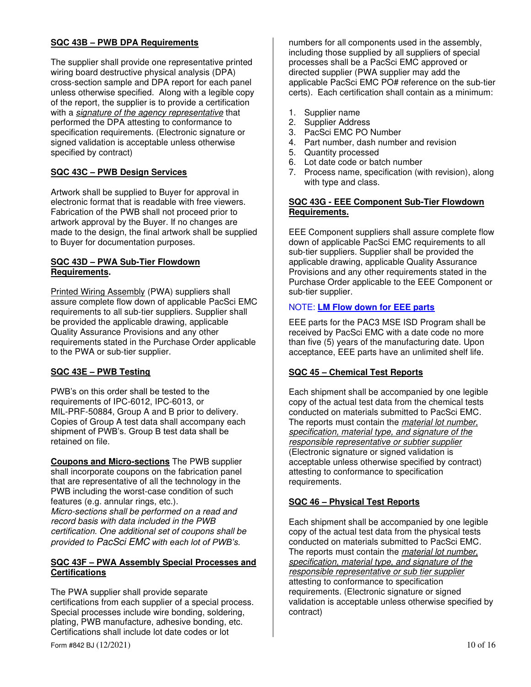## **SQC 43B – PWB DPA Requirements**

The supplier shall provide one representative printed wiring board destructive physical analysis (DPA) cross-section sample and DPA report for each panel unless otherwise specified. Along with a legible copy of the report, the supplier is to provide a certification with a *signature of the agency representative* that performed the DPA attesting to conformance to specification requirements. (Electronic signature or signed validation is acceptable unless otherwise specified by contract)

## **SQC 43C – PWB Design Services**

Artwork shall be supplied to Buyer for approval in electronic format that is readable with free viewers. Fabrication of the PWB shall not proceed prior to artwork approval by the Buyer. If no changes are made to the design, the final artwork shall be supplied to Buyer for documentation purposes.

#### **SQC 43D – PWA Sub-Tier Flowdown Requirements.**

Printed Wiring Assembly (PWA) suppliers shall assure complete flow down of applicable PacSci EMC requirements to all sub-tier suppliers. Supplier shall be provided the applicable drawing, applicable Quality Assurance Provisions and any other requirements stated in the Purchase Order applicable to the PWA or sub-tier supplier.

## **SQC 43E – PWB Testing**

PWB's on this order shall be tested to the requirements of IPC-6012, IPC-6013, or MIL-PRF-50884, Group A and B prior to delivery. Copies of Group A test data shall accompany each shipment of PWB's. Group B test data shall be retained on file.

**Coupons and Micro-sections** The PWB supplier shall incorporate coupons on the fabrication panel that are representative of all the technology in the PWB including the worst-case condition of such features (e.g. annular rings, etc.). *Micro-sections shall be performed on a read and record basis with data included in the PWB certification. One additional set of coupons shall be* 

*provided to PacSci EMC with each lot of PWB's.*

#### **SQC 43F – PWA Assembly Special Processes and Certifications**

The PWA supplier shall provide separate certifications from each supplier of a special process. Special processes include wire bonding, soldering, plating, PWB manufacture, adhesive bonding, etc. Certifications shall include lot date codes or lot

numbers for all components used in the assembly, including those supplied by all suppliers of special processes shall be a PacSci EMC approved or directed supplier (PWA supplier may add the applicable PacSci EMC PO# reference on the sub-tier certs). Each certification shall contain as a minimum:

- 1. Supplier name
- 2. Supplier Address
- 3. PacSci EMC PO Number
- 4. Part number, dash number and revision
- 5. Quantity processed
- 6. Lot date code or batch number
- 7. Process name, specification (with revision), along with type and class.

#### **SQC 43G - EEE Component Sub-Tier Flowdown Requirements.**

EEE Component suppliers shall assure complete flow down of applicable PacSci EMC requirements to all sub-tier suppliers. Supplier shall be provided the applicable drawing, applicable Quality Assurance Provisions and any other requirements stated in the Purchase Order applicable to the EEE Component or sub-tier supplier.

#### NOTE: **LM Flow down for EEE parts**

EEE parts for the PAC3 MSE ISD Program shall be received by PacSci EMC with a date code no more than five (5) years of the manufacturing date. Upon acceptance, EEE parts have an unlimited shelf life.

#### **SQC 45 – Chemical Test Reports**

Each shipment shall be accompanied by one legible copy of the actual test data from the chemical tests conducted on materials submitted to PacSci EMC. The reports must contain the *material lot number, specification, material type, and signature of the responsible representative or subtier supplier* (Electronic signature or signed validation is acceptable unless otherwise specified by contract) attesting to conformance to specification requirements.

#### **SQC 46 – Physical Test Reports**

Each shipment shall be accompanied by one legible copy of the actual test data from the physical tests conducted on materials submitted to PacSci EMC. The reports must contain the *material lot number, specification, material type, and signature of the responsible representative or sub tier supplier* attesting to conformance to specification requirements. (Electronic signature or signed validation is acceptable unless otherwise specified by contract)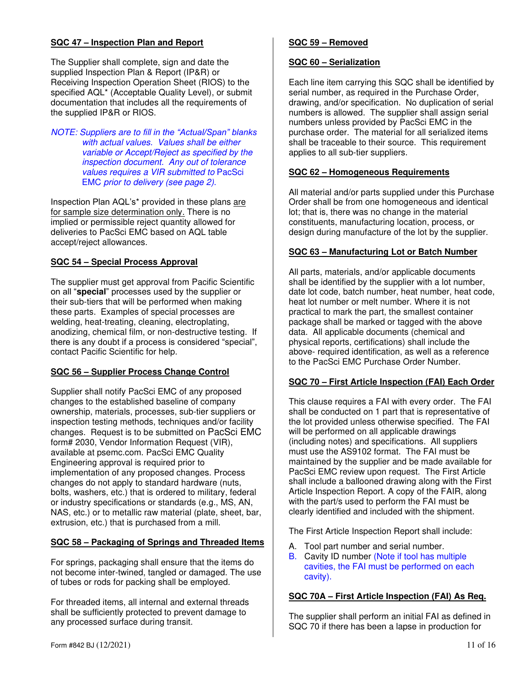## **SQC 47 – Inspection Plan and Report**

The Supplier shall complete, sign and date the supplied Inspection Plan & Report (IP&R) or Receiving Inspection Operation Sheet (RIOS) to the specified AQL\* (Acceptable Quality Level), or submit documentation that includes all the requirements of the supplied IP&R or RIOS.

*NOTE: Suppliers are to fill in the "Actual/Span" blanks with actual values. Values shall be either variable or Accept/Reject as specified by the inspection document. Any out of tolerance values requires a VIR submitted to* PacSci EMC *prior to delivery (see page 2)*.

Inspection Plan AQL's\* provided in these plans are for sample size determination only. There is no implied or permissible reject quantity allowed for deliveries to PacSci EMC based on AQL table accept/reject allowances.

## **SQC 54 – Special Process Approval**

The supplier must get approval from Pacific Scientific on all "**special**" processes used by the supplier or their sub-tiers that will be performed when making these parts. Examples of special processes are welding, heat-treating, cleaning, electroplating, anodizing, chemical film, or non-destructive testing. If there is any doubt if a process is considered "special", contact Pacific Scientific for help.

#### **SQC 56 – Supplier Process Change Control**

Supplier shall notify PacSci EMC of any proposed changes to the established baseline of company ownership, materials, processes, sub-tier suppliers or inspection testing methods, techniques and/or facility changes. Request is to be submitted on PacSci EMC form# 2030, Vendor Information Request (VIR), available at psemc.com. PacSci EMC Quality Engineering approval is required prior to implementation of any proposed changes. Process changes do not apply to standard hardware (nuts, bolts, washers, etc.) that is ordered to military, federal or industry specifications or standards (e.g., MS, AN, NAS, etc.) or to metallic raw material (plate, sheet, bar, extrusion, etc.) that is purchased from a mill.

#### **SQC 58 – Packaging of Springs and Threaded Items**

For springs, packaging shall ensure that the items do not become inter-twined, tangled or damaged. The use of tubes or rods for packing shall be employed.

For threaded items, all internal and external threads shall be sufficiently protected to prevent damage to any processed surface during transit.

## **SQC 59 – Removed**

#### **SQC 60 – Serialization**

Each line item carrying this SQC shall be identified by serial number, as required in the Purchase Order, drawing, and/or specification. No duplication of serial numbers is allowed. The supplier shall assign serial numbers unless provided by PacSci EMC in the purchase order. The material for all serialized items shall be traceable to their source. This requirement applies to all sub-tier suppliers.

#### **SQC 62 – Homogeneous Requirements**

All material and/or parts supplied under this Purchase Order shall be from one homogeneous and identical lot; that is, there was no change in the material constituents, manufacturing location, process, or design during manufacture of the lot by the supplier.

#### **SQC 63 – Manufacturing Lot or Batch Number**

All parts, materials, and/or applicable documents shall be identified by the supplier with a lot number, date lot code, batch number, heat number, heat code, heat lot number or melt number. Where it is not practical to mark the part, the smallest container package shall be marked or tagged with the above data. All applicable documents (chemical and physical reports, certifications) shall include the above- required identification, as well as a reference to the PacSci EMC Purchase Order Number.

#### **SQC 70 – First Article Inspection (FAI) Each Order**

This clause requires a FAI with every order. The FAI shall be conducted on 1 part that is representative of the lot provided unless otherwise specified. The FAI will be performed on all applicable drawings (including notes) and specifications. All suppliers must use the AS9102 format. The FAI must be maintained by the supplier and be made available for PacSci EMC review upon request. The First Article shall include a ballooned drawing along with the First Article Inspection Report. A copy of the FAIR, along with the part/s used to perform the FAI must be clearly identified and included with the shipment.

The First Article Inspection Report shall include:

- A. Tool part number and serial number.
- B. Cavity ID number (Note if tool has multiple cavities, the FAI must be performed on each cavity).

#### **SQC 70A – First Article Inspection (FAI) As Req.**

The supplier shall perform an initial FAI as defined in SQC 70 if there has been a lapse in production for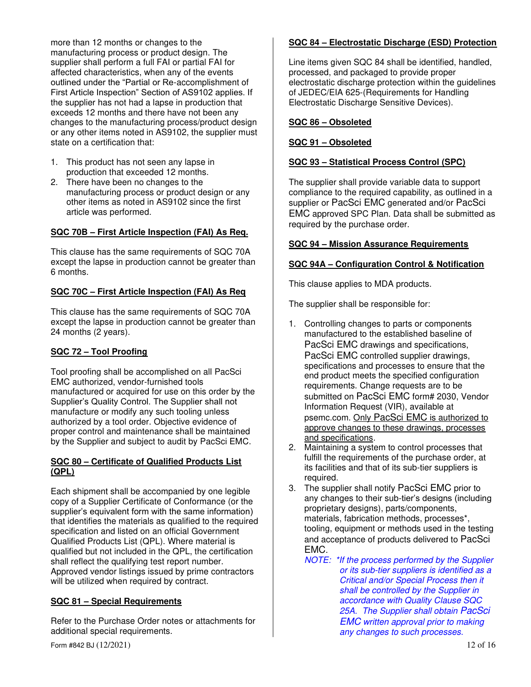more than 12 months or changes to the manufacturing process or product design. The supplier shall perform a full FAI or partial FAI for affected characteristics, when any of the events outlined under the "Partial or Re-accomplishment of First Article Inspection" Section of AS9102 applies. If the supplier has not had a lapse in production that exceeds 12 months and there have not been any changes to the manufacturing process/product design or any other items noted in AS9102, the supplier must state on a certification that:

- 1. This product has not seen any lapse in production that exceeded 12 months.
- 2. There have been no changes to the manufacturing process or product design or any other items as noted in AS9102 since the first article was performed.

#### **SQC 70B – First Article Inspection (FAI) As Req.**

This clause has the same requirements of SQC 70A except the lapse in production cannot be greater than 6 months.

#### **SQC 70C – First Article Inspection (FAI) As Req**

This clause has the same requirements of SQC 70A except the lapse in production cannot be greater than 24 months (2 years).

#### **SQC 72 – Tool Proofing**

Tool proofing shall be accomplished on all PacSci EMC authorized, vendor-furnished tools manufactured or acquired for use on this order by the Supplier's Quality Control. The Supplier shall not manufacture or modify any such tooling unless authorized by a tool order. Objective evidence of proper control and maintenance shall be maintained by the Supplier and subject to audit by PacSci EMC.

#### **SQC 80 – Certificate of Qualified Products List (QPL)**

Each shipment shall be accompanied by one legible copy of a Supplier Certificate of Conformance (or the supplier's equivalent form with the same information) that identifies the materials as qualified to the required specification and listed on an official Government Qualified Products List (QPL). Where material is qualified but not included in the QPL, the certification shall reflect the qualifying test report number. Approved vendor listings issued by prime contractors will be utilized when required by contract.

#### **SQC 81 – Special Requirements**

Refer to the Purchase Order notes or attachments for additional special requirements.

## **SQC 84 – Electrostatic Discharge (ESD) Protection**

Line items given SQC 84 shall be identified, handled, processed, and packaged to provide proper electrostatic discharge protection within the guidelines of JEDEC/EIA 625-(Requirements for Handling Electrostatic Discharge Sensitive Devices).

## **SQC 86 – Obsoleted**

## **SQC 91 – Obsoleted**

## **SQC 93 – Statistical Process Control (SPC)**

The supplier shall provide variable data to support compliance to the required capability, as outlined in a supplier or PacSci EMC generated and/or PacSci EMC approved SPC Plan. Data shall be submitted as required by the purchase order.

#### **SQC 94 – Mission Assurance Requirements**

#### **SQC 94A – Configuration Control & Notification**

This clause applies to MDA products.

The supplier shall be responsible for:

- 1. Controlling changes to parts or components manufactured to the established baseline of PacSci EMC drawings and specifications, PacSci EMC controlled supplier drawings, specifications and processes to ensure that the end product meets the specified configuration requirements. Change requests are to be submitted on PacSci EMC form# 2030, Vendor Information Request (VIR), available at psemc.com. Only PacSci EMC is authorized to approve changes to these drawings, processes and specifications.
- 2. Maintaining a system to control processes that fulfill the requirements of the purchase order, at its facilities and that of its sub-tier suppliers is required.
- 3. The supplier shall notify PacSci EMC prior to any changes to their sub-tier's designs (including proprietary designs), parts/components, materials, fabrication methods, processes\*, tooling, equipment or methods used in the testing and acceptance of products delivered to PacSci EMC.
	- *NOTE: \*If the process performed by the Supplier or its sub-tier suppliers is identified as a Critical and/or Special Process then it shall be controlled by the Supplier in accordance with Quality Clause SQC 25A. The Supplier shall obtain PacSci EMC written approval prior to making any changes to such processes.*

Form #842 BJ (12/2021) 12 of 16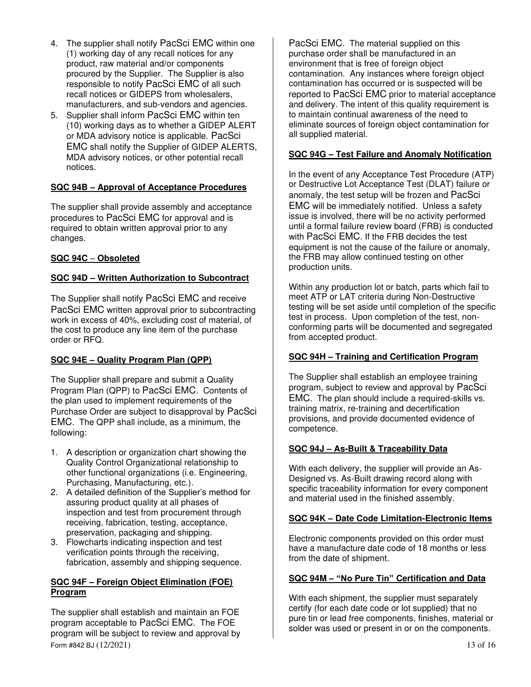- 4. The supplier shall notify PacSci EMC within one (1) working day of any recall notices for any product, raw material and/or components procured by the Supplier. The Supplier is also responsible to notify PacSci EMC of all such recall notices or GIDEPS from wholesalers, manufacturers, and sub-vendors and agencies.
- 5. Supplier shall inform PacSci EMC within ten (10) working days as to whether a GIDEP ALERT or MDA advisory notice is applicable. PacSci EMC shall notify the Supplier of GIDEP ALERTS, MDA advisory notices, or other potential recall notices.

## **SQC 94B – Approval of Acceptance Procedures**

The supplier shall provide assembly and acceptance procedures to PacSci EMC for approval and is required to obtain written approval prior to any changes.

## **SQC 94C** – **Obsoleted**

## **SQC 94D – Written Authorization to Subcontract**

The Supplier shall notify PacSci EMC and receive PacSci EMC written approval prior to subcontracting work in excess of 40%, excluding cost of material, of the cost to produce any line item of the purchase order or RFQ.

# **SQC 94E – Quality Program Plan (QPP)**

The Supplier shall prepare and submit a Quality Program Plan (QPP) to PacSci EMC. Contents of the plan used to implement requirements of the Purchase Order are subject to disapproval by PacSci EMC. The QPP shall include, as a minimum, the following:

- 1. A description or organization chart showing the Quality Control Organizational relationship to other functional organizations (i.e. Engineering, Purchasing, Manufacturing, etc.).
- 2. A detailed definition of the Supplier's method for assuring product quality at all phases of inspection and test from procurement through receiving, fabrication, testing, acceptance, preservation, packaging and shipping.
- 3. Flowcharts indicating inspection and test verification points through the receiving, fabrication, assembly and shipping sequence.

## **SQC 94F – Foreign Object Elimination (FOE) Program**

Form #842 BJ (12/2021) 13 of 16 The supplier shall establish and maintain an FOE program acceptable to PacSci EMC. The FOE program will be subject to review and approval by

PacSci EMC. The material supplied on this purchase order shall be manufactured in an environment that is free of foreign object contamination. Any instances where foreign object contamination has occurred or is suspected will be reported to PacSci EMC prior to material acceptance and delivery. The intent of this quality requirement is to maintain continual awareness of the need to eliminate sources of foreign object contamination for all supplied material.

## **SQC 94G – Test Failure and Anomaly Notification**

In the event of any Acceptance Test Procedure (ATP) or Destructive Lot Acceptance Test (DLAT) failure or anomaly, the test setup will be frozen and PacSci EMC will be immediately notified. Unless a safety issue is involved, there will be no activity performed until a formal failure review board (FRB) is conducted with PacSci EMC. If the FRB decides the test equipment is not the cause of the failure or anomaly, the FRB may allow continued testing on other production units.

Within any production lot or batch, parts which fail to meet ATP or LAT criteria during Non-Destructive testing will be set aside until completion of the specific test in process. Upon completion of the test, nonconforming parts will be documented and segregated from accepted product.

## **SQC 94H – Training and Certification Program**

The Supplier shall establish an employee training program, subject to review and approval by PacSci EMC. The plan should include a required-skills vs. training matrix, re-training and decertification provisions, and provide documented evidence of competence.

## **SQC 94J – As-Built & Traceability Data**

With each delivery, the supplier will provide an As-Designed vs. As-Built drawing record along with specific traceability information for every component and material used in the finished assembly.

#### **SQC 94K – Date Code Limitation-Electronic Items**

Electronic components provided on this order must have a manufacture date code of 18 months or less from the date of shipment.

#### **SQC 94M – "No Pure Tin" Certification and Data**

With each shipment, the supplier must separately certify (for each date code or lot supplied) that no pure tin or lead free components, finishes, material or solder was used or present in or on the components.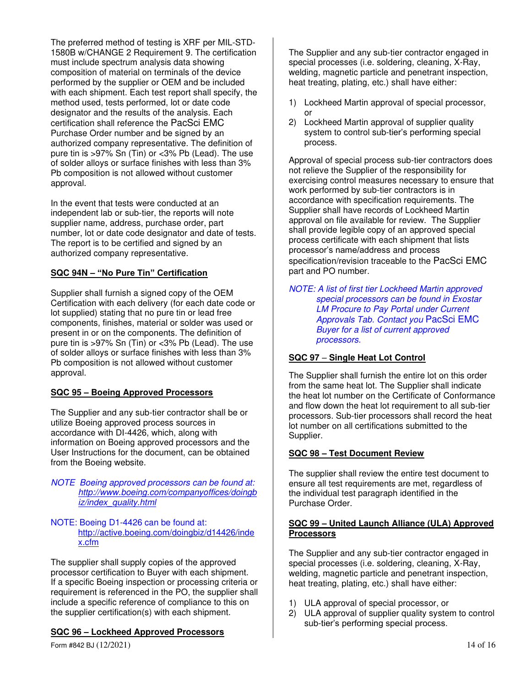The preferred method of testing is XRF per MIL-STD-1580B w/CHANGE 2 Requirement 9. The certification must include spectrum analysis data showing composition of material on terminals of the device performed by the supplier or OEM and be included with each shipment. Each test report shall specify, the method used, tests performed, lot or date code designator and the results of the analysis. Each certification shall reference the PacSci EMC Purchase Order number and be signed by an authorized company representative. The definition of pure tin is >97% Sn (Tin) or <3% Pb (Lead). The use of solder alloys or surface finishes with less than 3% Pb composition is not allowed without customer approval.

In the event that tests were conducted at an independent lab or sub-tier, the reports will note supplier name, address, purchase order, part number, lot or date code designator and date of tests. The report is to be certified and signed by an authorized company representative.

## **SQC 94N – "No Pure Tin" Certification**

Supplier shall furnish a signed copy of the OEM Certification with each delivery (for each date code or lot supplied) stating that no pure tin or lead free components, finishes, material or solder was used or present in or on the components. The definition of pure tin is >97% Sn (Tin) or <3% Pb (Lead). The use of solder alloys or surface finishes with less than 3% Pb composition is not allowed without customer approval.

## **SQC 95 – Boeing Approved Processors**

The Supplier and any sub-tier contractor shall be or utilize Boeing approved process sources in accordance with DI-4426, which, along with information on Boeing approved processors and the User Instructions for the document, can be obtained from the Boeing website.

#### *NOTE Boeing approved processors can be found at: http://www.boeing.com/companyoffices/doingb iz/index\_quality.html*

#### NOTE: Boeing D1-4426 can be found at: http://active.boeing.com/doingbiz/d14426/inde x.cfm

The supplier shall supply copies of the approved processor certification to Buyer with each shipment. If a specific Boeing inspection or processing criteria or requirement is referenced in the PO, the supplier shall include a specific reference of compliance to this on the supplier certification(s) with each shipment.

#### **SQC 96 – Lockheed Approved Processors**

The Supplier and any sub-tier contractor engaged in special processes (i.e. soldering, cleaning, X-Ray, welding, magnetic particle and penetrant inspection, heat treating, plating, etc.) shall have either:

- 1) Lockheed Martin approval of special processor, or
- 2) Lockheed Martin approval of supplier quality system to control sub-tier's performing special process.

Approval of special process sub-tier contractors does not relieve the Supplier of the responsibility for exercising control measures necessary to ensure that work performed by sub-tier contractors is in accordance with specification requirements. The Supplier shall have records of Lockheed Martin approval on file available for review. The Supplier shall provide legible copy of an approved special process certificate with each shipment that lists processor's name/address and process specification/revision traceable to the PacSci EMC part and PO number.

*NOTE: A list of first tier Lockheed Martin approved special processors can be found in Exostar LM Procure to Pay Portal under Current Approvals Tab. Contact you* PacSci EMC *Buyer for a list of current approved processors.* 

## **SQC 97** – **Single Heat Lot Control**

The Supplier shall furnish the entire lot on this order from the same heat lot. The Supplier shall indicate the heat lot number on the Certificate of Conformance and flow down the heat lot requirement to all sub-tier processors. Sub-tier processors shall record the heat lot number on all certifications submitted to the Supplier.

#### **SQC 98 – Test Document Review**

The supplier shall review the entire test document to ensure all test requirements are met, regardless of the individual test paragraph identified in the Purchase Order.

#### **SQC 99 – United Launch Alliance (ULA) Approved Processors**

The Supplier and any sub-tier contractor engaged in special processes (i.e. soldering, cleaning, X-Ray, welding, magnetic particle and penetrant inspection, heat treating, plating, etc.) shall have either:

- 1) ULA approval of special processor, or
- 2) ULA approval of supplier quality system to control sub-tier's performing special process.

Form #842 BJ (12/2021) 14 of 16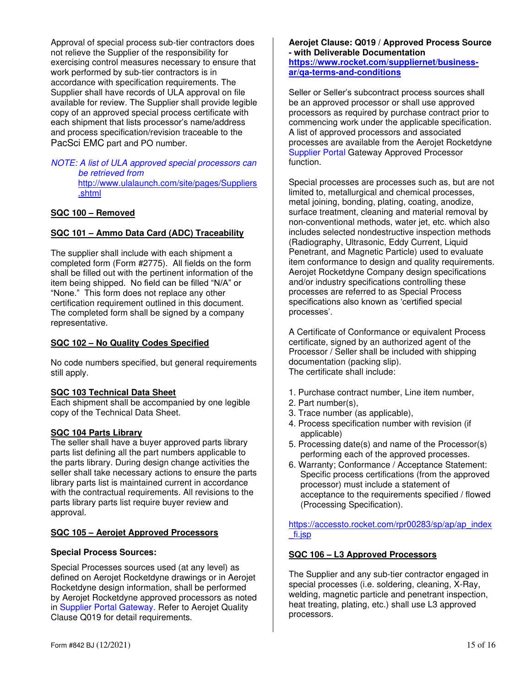Approval of special process sub-tier contractors does not relieve the Supplier of the responsibility for exercising control measures necessary to ensure that work performed by sub-tier contractors is in accordance with specification requirements. The Supplier shall have records of ULA approval on file available for review. The Supplier shall provide legible copy of an approved special process certificate with each shipment that lists processor's name/address and process specification/revision traceable to the PacSci EMC part and PO number.

#### *NOTE: A list of ULA approved special processors can be retrieved from*  http://www.ulalaunch.com/site/pages/Suppliers .shtml

#### **SQC 100 – Removed**

## **SQC 101 – Ammo Data Card (ADC) Traceability**

The supplier shall include with each shipment a completed form (Form #2775). All fields on the form shall be filled out with the pertinent information of the item being shipped. No field can be filled "N/A" or "None." This form does not replace any other certification requirement outlined in this document. The completed form shall be signed by a company representative.

#### **SQC 102 – No Quality Codes Specified**

No code numbers specified, but general requirements still apply.

#### **SQC 103 Technical Data Sheet**

Each shipment shall be accompanied by one legible copy of the Technical Data Sheet.

#### **SQC 104 Parts Library**

The seller shall have a buyer approved parts library parts list defining all the part numbers applicable to the parts library. During design change activities the seller shall take necessary actions to ensure the parts library parts list is maintained current in accordance with the contractual requirements. All revisions to the parts library parts list require buyer review and approval.

#### **SQC 105 – Aerojet Approved Processors**

#### **Special Process Sources:**

Special Processes sources used (at any level) as defined on Aerojet Rocketdyne drawings or in Aerojet Rocketdyne design information, shall be performed by Aerojet Rocketdyne approved processors as noted in Supplier Portal Gateway. Refer to Aerojet Quality Clause Q019 for detail requirements.

#### **Aerojet Clause: Q019 / Approved Process Source - with Deliverable Documentation https://www.rocket.com/suppliernet/businessar/qa-terms-and-conditions**

Seller or Seller's subcontract process sources shall be an approved processor or shall use approved processors as required by purchase contract prior to commencing work under the applicable specification. A list of approved processors and associated processes are available from the Aerojet Rocketdyne Supplier Portal Gateway Approved Processor function.

Special processes are processes such as, but are not limited to, metallurgical and chemical processes, metal joining, bonding, plating, coating, anodize, surface treatment, cleaning and material removal by non-conventional methods, water jet, etc. which also includes selected nondestructive inspection methods (Radiography, Ultrasonic, Eddy Current, Liquid Penetrant, and Magnetic Particle) used to evaluate item conformance to design and quality requirements. Aerojet Rocketdyne Company design specifications and/or industry specifications controlling these processes are referred to as Special Process specifications also known as 'certified special processes'.

A Certificate of Conformance or equivalent Process certificate, signed by an authorized agent of the Processor / Seller shall be included with shipping documentation (packing slip). The certificate shall include:

- 1. Purchase contract number, Line item number,
- 2. Part number(s),
- 3. Trace number (as applicable),
- 4. Process specification number with revision (if applicable)
- 5. Processing date(s) and name of the Processor(s) performing each of the approved processes.
- 6. Warranty; Conformance / Acceptance Statement: Specific process certifications (from the approved processor) must include a statement of acceptance to the requirements specified / flowed (Processing Specification).

https://accessto.rocket.com/rpr00283/sp/ap/ap\_index \_fi.jsp

#### **SQC 106 – L3 Approved Processors**

The Supplier and any sub-tier contractor engaged in special processes (i.e. soldering, cleaning, X-Ray, welding, magnetic particle and penetrant inspection, heat treating, plating, etc.) shall use L3 approved processors.